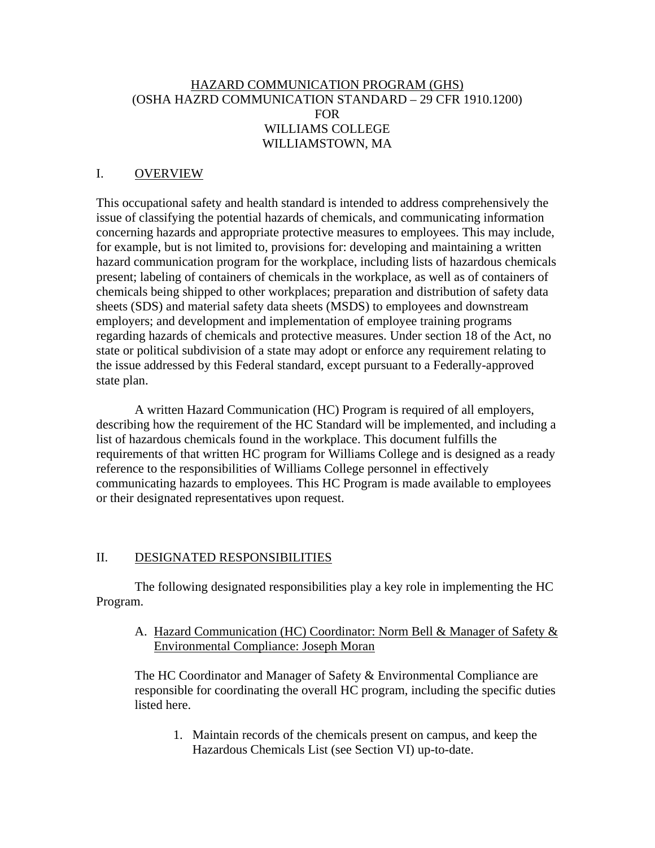# HAZARD COMMUNICATION PROGRAM (GHS) (OSHA HAZRD COMMUNICATION STANDARD – 29 CFR 1910.1200) FOR WILLIAMS COLLEGE WILLIAMSTOWN, MA

#### I. OVERVIEW

This occupational safety and health standard is intended to address comprehensively the issue of classifying the potential hazards of chemicals, and communicating information concerning hazards and appropriate protective measures to employees. This may include, for example, but is not limited to, provisions for: developing and maintaining a written hazard communication program for the workplace, including lists of hazardous chemicals present; labeling of containers of chemicals in the workplace, as well as of containers of chemicals being shipped to other workplaces; preparation and distribution of safety data sheets (SDS) and material safety data sheets (MSDS) to employees and downstream employers; and development and implementation of employee training programs regarding hazards of chemicals and protective measures. Under section 18 of the Act, no state or political subdivision of a state may adopt or enforce any requirement relating to the issue addressed by this Federal standard, except pursuant to a Federally-approved state plan.

A written Hazard Communication (HC) Program is required of all employers, describing how the requirement of the HC Standard will be implemented, and including a list of hazardous chemicals found in the workplace. This document fulfills the requirements of that written HC program for Williams College and is designed as a ready reference to the responsibilities of Williams College personnel in effectively communicating hazards to employees. This HC Program is made available to employees or their designated representatives upon request.

#### II. DESIGNATED RESPONSIBILITIES

The following designated responsibilities play a key role in implementing the HC Program.

A. Hazard Communication (HC) Coordinator: Norm Bell & Manager of Safety & Environmental Compliance: Joseph Moran

The HC Coordinator and Manager of Safety & Environmental Compliance are responsible for coordinating the overall HC program, including the specific duties listed here.

1. Maintain records of the chemicals present on campus, and keep the Hazardous Chemicals List (see Section VI) up-to-date.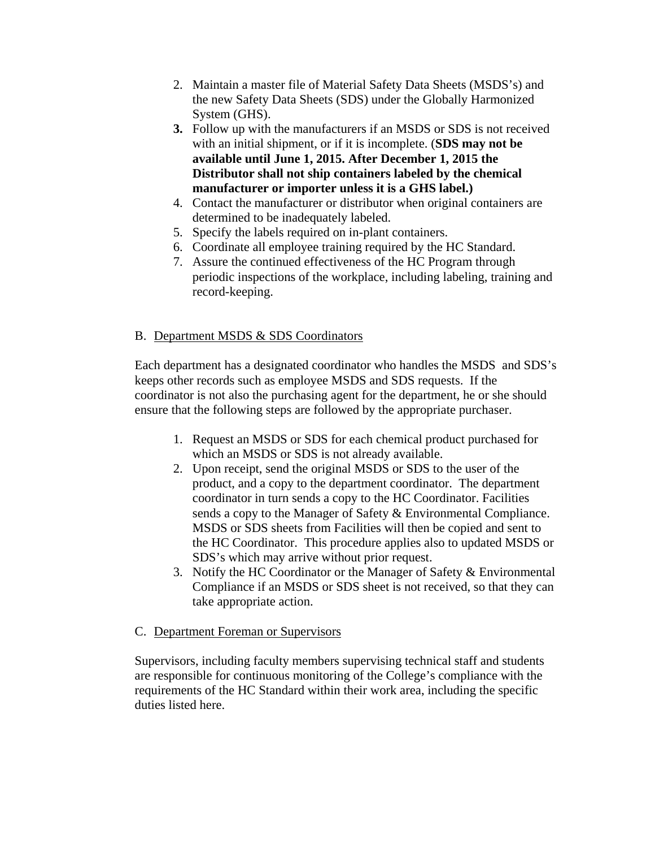- 2. Maintain a master file of Material Safety Data Sheets (MSDS's) and the new Safety Data Sheets (SDS) under the Globally Harmonized System (GHS).
- **3.** Follow up with the manufacturers if an MSDS or SDS is not received with an initial shipment, or if it is incomplete. (**SDS may not be available until June 1, 2015. After December 1, 2015 the Distributor shall not ship containers labeled by the chemical manufacturer or importer unless it is a GHS label.)**
- 4. Contact the manufacturer or distributor when original containers are determined to be inadequately labeled.
- 5. Specify the labels required on in-plant containers.
- 6. Coordinate all employee training required by the HC Standard.
- 7. Assure the continued effectiveness of the HC Program through periodic inspections of the workplace, including labeling, training and record-keeping.

# B. Department MSDS & SDS Coordinators

Each department has a designated coordinator who handles the MSDS and SDS's keeps other records such as employee MSDS and SDS requests. If the coordinator is not also the purchasing agent for the department, he or she should ensure that the following steps are followed by the appropriate purchaser.

- 1. Request an MSDS or SDS for each chemical product purchased for which an MSDS or SDS is not already available.
- 2. Upon receipt, send the original MSDS or SDS to the user of the product, and a copy to the department coordinator. The department coordinator in turn sends a copy to the HC Coordinator. Facilities sends a copy to the Manager of Safety & Environmental Compliance. MSDS or SDS sheets from Facilities will then be copied and sent to the HC Coordinator. This procedure applies also to updated MSDS or SDS's which may arrive without prior request.
- 3. Notify the HC Coordinator or the Manager of Safety & Environmental Compliance if an MSDS or SDS sheet is not received, so that they can take appropriate action.

# C. Department Foreman or Supervisors

Supervisors, including faculty members supervising technical staff and students are responsible for continuous monitoring of the College's compliance with the requirements of the HC Standard within their work area, including the specific duties listed here.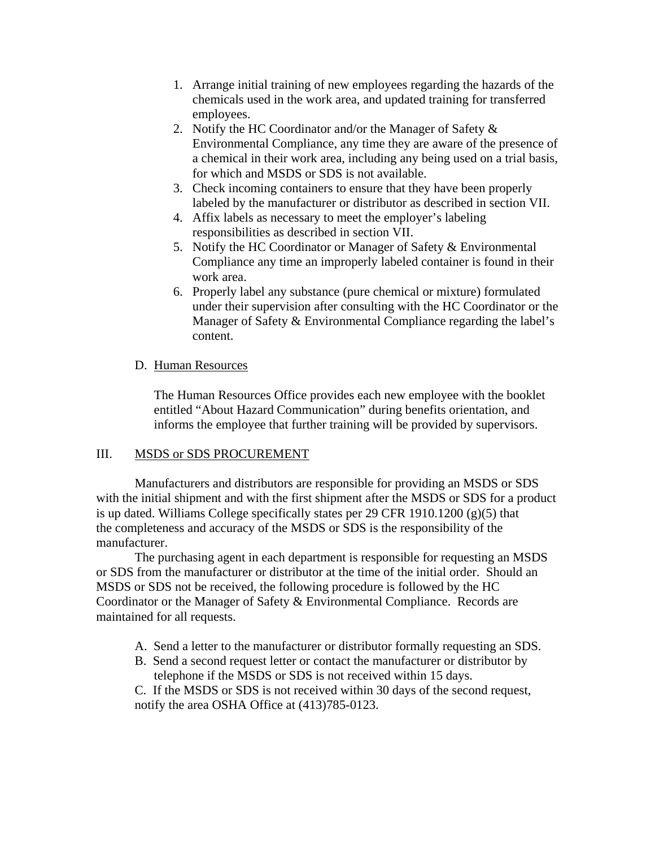- 1. Arrange initial training of new employees regarding the hazards of the chemicals used in the work area, and updated training for transferred employees.
- 2. Notify the HC Coordinator and/or the Manager of Safety & Environmental Compliance, any time they are aware of the presence of a chemical in their work area, including any being used on a trial basis, for which and MSDS or SDS is not available.
- 3. Check incoming containers to ensure that they have been properly labeled by the manufacturer or distributor as described in section VII.
- 4. Affix labels as necessary to meet the employer's labeling responsibilities as described in section VII.
- 5. Notify the HC Coordinator or Manager of Safety & Environmental Compliance any time an improperly labeled container is found in their work area.
- 6. Properly label any substance (pure chemical or mixture) formulated under their supervision after consulting with the HC Coordinator or the Manager of Safety & Environmental Compliance regarding the label's content.

# D. Human Resources

The Human Resources Office provides each new employee with the booklet entitled "About Hazard Communication" during benefits orientation, and informs the employee that further training will be provided by supervisors.

#### III. MSDS or SDS PROCUREMENT

Manufacturers and distributors are responsible for providing an MSDS or SDS with the initial shipment and with the first shipment after the MSDS or SDS for a product is up dated. Williams College specifically states per 29 CFR 1910.1200  $(g)(5)$  that the completeness and accuracy of the MSDS or SDS is the responsibility of the manufacturer.

The purchasing agent in each department is responsible for requesting an MSDS or SDS from the manufacturer or distributor at the time of the initial order. Should an MSDS or SDS not be received, the following procedure is followed by the HC Coordinator or the Manager of Safety & Environmental Compliance. Records are maintained for all requests.

- A. Send a letter to the manufacturer or distributor formally requesting an SDS.
- B. Send a second request letter or contact the manufacturer or distributor by telephone if the MSDS or SDS is not received within 15 days.

C. If the MSDS or SDS is not received within 30 days of the second request, notify the area OSHA Office at (413)785-0123.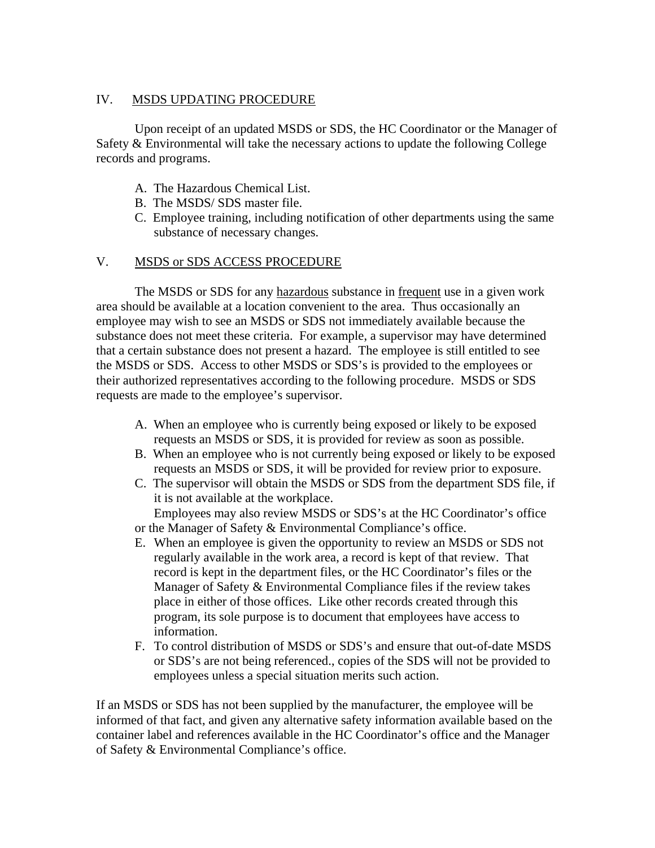# IV. MSDS UPDATING PROCEDURE

Upon receipt of an updated MSDS or SDS, the HC Coordinator or the Manager of Safety & Environmental will take the necessary actions to update the following College records and programs.

- A. The Hazardous Chemical List.
- B. The MSDS/ SDS master file.
- C. Employee training, including notification of other departments using the same substance of necessary changes.

# V. MSDS or SDS ACCESS PROCEDURE

The MSDS or SDS for any hazardous substance in frequent use in a given work area should be available at a location convenient to the area. Thus occasionally an employee may wish to see an MSDS or SDS not immediately available because the substance does not meet these criteria. For example, a supervisor may have determined that a certain substance does not present a hazard. The employee is still entitled to see the MSDS or SDS. Access to other MSDS or SDS's is provided to the employees or their authorized representatives according to the following procedure. MSDS or SDS requests are made to the employee's supervisor.

- A. When an employee who is currently being exposed or likely to be exposed requests an MSDS or SDS, it is provided for review as soon as possible.
- B. When an employee who is not currently being exposed or likely to be exposed requests an MSDS or SDS, it will be provided for review prior to exposure.
- C. The supervisor will obtain the MSDS or SDS from the department SDS file, if it is not available at the workplace.

Employees may also review MSDS or SDS's at the HC Coordinator's office or the Manager of Safety & Environmental Compliance's office.

- E. When an employee is given the opportunity to review an MSDS or SDS not regularly available in the work area, a record is kept of that review. That record is kept in the department files, or the HC Coordinator's files or the Manager of Safety & Environmental Compliance files if the review takes place in either of those offices. Like other records created through this program, its sole purpose is to document that employees have access to information.
- F. To control distribution of MSDS or SDS's and ensure that out-of-date MSDS or SDS's are not being referenced., copies of the SDS will not be provided to employees unless a special situation merits such action.

If an MSDS or SDS has not been supplied by the manufacturer, the employee will be informed of that fact, and given any alternative safety information available based on the container label and references available in the HC Coordinator's office and the Manager of Safety & Environmental Compliance's office.